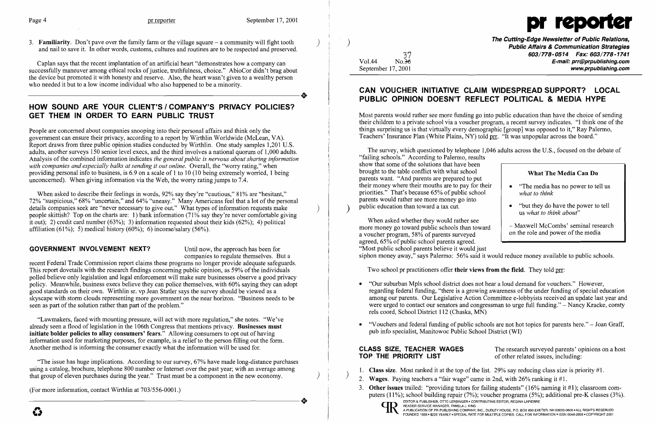

3. Familiarity. Don't pave over the family farm or the village square – a community will fight tooth and nail to save it. In other words, customs, cultures and routines are to be respected and preserved.

Caplan says that the recent implantation of an artificial heart "demonstrates how a company can successfully maneuver among ethical rocks of justice, truthfulness, choice." AbioCor didn't brag about the device but promoted it with honesty and reserve. Also, the heart wasn't given to a wealthy person who needed it but to a low income individual who also happened to be a minority. who needed it but to a low income individual who also happened to be a minority.

)

 $\big)$ 

## HOW SOUND ARE YOUR CLIENT'S / COMPANY'S PRIVACY POLICIES? GET THEM IN ORDER TO EARN PUBLIC TRUST

People are concerned about companies snooping into their personal affairs and think only the government can ensure their privacy, according to a report by Wirthlin Worldwide (McLean, VA). Report draws from three public opinion studies conducted by Wirthlin. One study samples 1,201 U.S. adults, another surveys 150 senior level execs, and the third involves a national quorum of 1,000 adults. Analysis of the combined information indicates *the general public is nervous about sharing information* with companies and especially balks at sending it out online. Overall, the "worry rating," when providing personal info to business, is 6.9 on a scale of 1 to 10 (10 being extremely worried, 1 being unconcerned). When giving information via the Web, the worry rating jumps to 7.4.

When asked to describe their feelings in words, 92% say they're "cautious," 81% are "hesitant," 72% "suspicious," 68% "uncertain," and 64% "uneasy." Many Americans feel that a lot of the personal details companies seek are "never necessary to give out." What types of information requests make people skittish? Top on the charts are: 1) bank information (71% say they're never comfortable giving it out); 2) credit card number (63%); 3) information requested about their kids (62%); 4) political affiliation (61%); 5) medical history (60%); 6) income/salary (56%).

(For more information, contact Wirthlin at 703/556-0001.) (For more information, contact Wirthlin at  $703/556-0001$ .)

 $\frac{37}{10.36}$  $Vol.44$ September 17, 2001

Most parents would rather see more funding go into public education than have the choice of sending their children to a private school via a voucher program, a recent survey indicates. "I think one of the things surprising us is that virtually every demographic [group] was opposed to it," Ray Palermo, Teachers' Insurance Plan (White Plains, NY) told prr. "It was unpopular across the board."

)

## GOVERNMENT INVOLVEMENT NEXT? Until now, the approach has been for

companies to regulate themselves. But a

recent Federal Trade Commission report claims these programs no longer provide adequate safeguards. This report dovetails with the research findings concerning public opinion, as 59% of the individuals polled believe only legislation and legal enforcement will make sure businesses observe a good privacy policy. Meanwhile, business execs believe they can police themselves, with 60% saying they can adopt good standards on their own. Wirthlin sr. vp Jean Statler says the survey should be viewed as a skyscape with storm clouds representing more government on the near horizon. "Business needs to be seen as part of the solution rather than part of the problem."

| What The Media Can Do |                                                                           |
|-----------------------|---------------------------------------------------------------------------|
|                       | "The media has no power to tell us"<br>what to think                      |
|                       | "but they do have the power to tell"<br>us what to think about"           |
|                       | - Maxwell McCombs' seminal research<br>on the role and power of the media |

regarding federal funding, "there is a growing awareness of the under funding of special education among our parents. Our Legislative Action Committee e-lobbyists received an update last year and were urged to contact our senators and congressman to urge full funding." – Nancy Kracke, comty

• "Vouchers and federal funding of public schools are not hot topics for parents here." – Joan Graff,

CLASS SIZE, TEACHER WAGES<br>
TOP THE PRIORITY LIST of other related issues, including: of other related issues, including:

3. Other issues trailed: "providing tutors for failing students" (16% naming it #1); classroom computers (11%); school building repair (7%); voucher programs (5%); additional pre-K classes (3%). (11%); school building repair (7%); voucher programs (5%); additional pre-K classes (3<br>  $\sum_{\text{EDITOR A PUBLICEMANAGER, PAMELA J. KING}}$ <br>
A PUBLICATION OF PR PUBLISHING COMPANY, INC., DUDLEY HOUSE, P.O. BOX 600 EXETER, NH 03833-0600 • ALL RI

"Lawmakers, faced with mounting pressure, will act with more regulation," she notes. "We've already seen a flood of legislation in the 106th Congress that mentions privacy. Businesses must initiate bolder policies to allay consumers' fears." Allowing consumers to opt out of having information used for marketing purposes, for example, is a relief to the person filling out the form. Another method is informing the consumer exactly what the information will be used for.

> EDITOR & PUBLISHER, OTTO LERBINGER' CONTRIBUTING EDITOR, REGINA LAPIERRE EDITOR & PUBLISHER, OTTO LERBINGER • CONTRIBUTING EDITOR, REGINA LAPIERRE

"The issue has huge implications. According to our survey, 67% have made long-distance purchases using a catalog, brochure, telephone 800 number or Internet over the past year; with an average among that group of eleven purchases during the year." Trust must be a component in the new economy.

. )

The Cutting-Edge Newsletter of Public Relations, Public Affairs & Communication Strategies *603/778-0514 Fax: 603/778-1741*  E-mail: prr@prpublishing.com www.prpublishing.com

## CAN VOUCHER INITIATIVE CLAIM WIDESPREAD SUPPORT? LOCAL PUBLIC OPINION DOESN'T REFLECT POLITICAL & MEDIA HYPE

The survey, which questioned by telephone 1,046 adults across the U.S., focused on the debate of "failing schools." According to Palermo, results show that some of the solutions that have been brought to the table conflict with what school parents want. "And parents are prepared to put their money where their mouths are to pay for their priorities." That's because 65% of public school parents would rather see more money go into public education than toward a tax cut. ) What The Media Can Do • "The media has no power to tell us *what to think* 

When asked whether they would rather see more money go toward public schools than toward a voucher program, 58% of parents surveyed agreed, 65% of public school parents agreed. "Most public school parents believe it would just - Maxwell McCombs' seminal research on the role and power of the media siphon money away," says Palermo: 56% said it would reduce money available to public schools.

Two school pr practitioners offer their views from the field. They told prr:

- • "Our suburban Mpls school district does not hear a loud demand for vouchers." However, rels coord, School District 112 (Chaska, MN)
- pub info specialist, Manitowoc Public School District (WI)

- 1. **Class size**. Most ranked it at the top of the list. 29% say reducing class size is priority #1. 2. **Wages**. Paying teachers a "fair wage" came in 2nd, with 26% ranking it #1.
- 
-